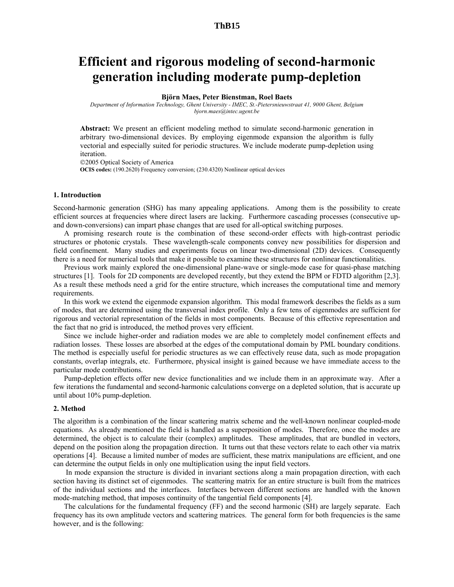### **ThB15**

## **Efficient and rigorous modeling of second-harmonic generation including moderate pump-depletion**

### **Björn Maes, Peter Bienstman, Roel Baets**

*Department of Information Technology, Ghent University - IMEC, St.-Pietersnieuwstraat 41, 9000 Ghent, Belgium bjorn.maes@intec.ugent.be* 

**Abstract:** We present an efficient modeling method to simulate second-harmonic generation in arbitrary two-dimensional devices. By employing eigenmode expansion the algorithm is fully vectorial and especially suited for periodic structures. We include moderate pump-depletion using iteration.

2005 Optical Society of America

**OCIS codes:** (190.2620) Frequency conversion; (230.4320) Nonlinear optical devices

### **1. Introduction**

Second-harmonic generation (SHG) has many appealing applications. Among them is the possibility to create efficient sources at frequencies where direct lasers are lacking. Furthermore cascading processes (consecutive upand down-conversions) can impart phase changes that are used for all-optical switching purposes.

A promising research route is the combination of these second-order effects with high-contrast periodic structures or photonic crystals. These wavelength-scale components convey new possibilities for dispersion and field confinement. Many studies and experiments focus on linear two-dimensional (2D) devices. Consequently there is a need for numerical tools that make it possible to examine these structures for nonlinear functionalities.

Previous work mainly explored the one-dimensional plane-wave or single-mode case for quasi-phase matching structures [1]. Tools for 2D components are developed recently, but they extend the BPM or FDTD algorithm [2,3]. As a result these methods need a grid for the entire structure, which increases the computational time and memory requirements.

In this work we extend the eigenmode expansion algorithm. This modal framework describes the fields as a sum of modes, that are determined using the transversal index profile. Only a few tens of eigenmodes are sufficient for rigorous and vectorial representation of the fields in most components. Because of this effective representation and the fact that no grid is introduced, the method proves very efficient.

Since we include higher-order and radiation modes we are able to completely model confinement effects and radiation losses. These losses are absorbed at the edges of the computational domain by PML boundary conditions. The method is especially useful for periodic structures as we can effectively reuse data, such as mode propagation constants, overlap integrals, etc. Furthermore, physical insight is gained because we have immediate access to the particular mode contributions.

Pump-depletion effects offer new device functionalities and we include them in an approximate way. After a few iterations the fundamental and second-harmonic calculations converge on a depleted solution, that is accurate up until about 10% pump-depletion.

### **2. Method**

The algorithm is a combination of the linear scattering matrix scheme and the well-known nonlinear coupled-mode equations. As already mentioned the field is handled as a superposition of modes. Therefore, once the modes are determined, the object is to calculate their (complex) amplitudes. These amplitudes, that are bundled in vectors, depend on the position along the propagation direction. It turns out that these vectors relate to each other via matrix operations [4]. Because a limited number of modes are sufficient, these matrix manipulations are efficient, and one can determine the output fields in only one multiplication using the input field vectors.

 In mode expansion the structure is divided in invariant sections along a main propagation direction, with each section having its distinct set of eigenmodes. The scattering matrix for an entire structure is built from the matrices of the individual sections and the interfaces. Interfaces between different sections are handled with the known mode-matching method, that imposes continuity of the tangential field components [4].

The calculations for the fundamental frequency (FF) and the second harmonic (SH) are largely separate. Each frequency has its own amplitude vectors and scattering matrices. The general form for both frequencies is the same however, and is the following: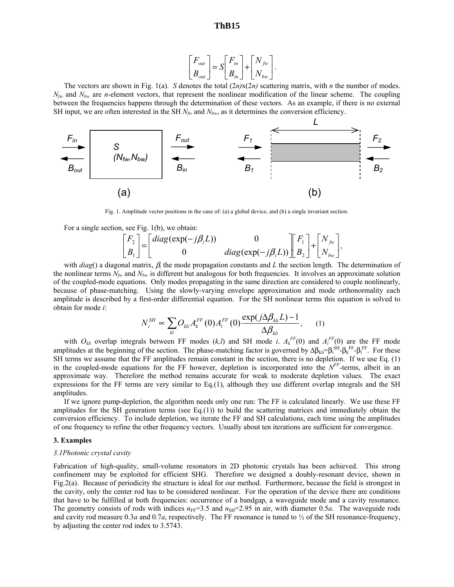$$
\begin{bmatrix} F_{out} \\ B_{out} \end{bmatrix} = S \begin{bmatrix} F_{in} \\ B_{in} \end{bmatrix} + \begin{bmatrix} N_{fw} \\ N_{bw} \end{bmatrix}.
$$

The vectors are shown in Fig. 1(a). *S* denotes the total  $(2n)x(2n)$  scattering matrix, with *n* the number of modes.  $N_{fw}$  and  $N_{bw}$  are *n*-element vectors, that represent the nonlinear modification of the linear scheme. The coupling between the frequencies happens through the determination of these vectors. As an example, if there is no external SH input, we are often interested in the SH  $N_{fw}$  and  $N_{bw}$ , as it determines the conversion efficiency.



Fig. 1. Amplitude vector positions in the case of: (a) a global device, and (b) a single invariant section.

For a single section, see Fig. 1(b), we obtain:

$$
\begin{bmatrix} F_2 \\ B_1 \end{bmatrix} = \begin{bmatrix} diag(exp(-j\beta_i L)) & 0 \\ 0 & diag(exp(-j\beta_i L)) \end{bmatrix} \begin{bmatrix} F_1 \\ B_2 \end{bmatrix} + \begin{bmatrix} N_{jw} \\ N_{bw} \end{bmatrix},
$$

with *diag*() a diagonal matrix, β*i* the mode propagation constants and *L* the section length. The determination of the nonlinear terms  $N_{fw}$  and  $N_{bw}$  is different but analogous for both frequencies. It involves an approximate solution of the coupled-mode equations. Only modes propagating in the same direction are considered to couple nonlinearly, because of phase-matching. Using the slowly-varying envelope approximation and mode orthonormality each amplitude is described by a first-order differential equation. For the SH nonlinear terms this equation is solved to obtain for mode *i*:

$$
N_i^{SH} \propto \sum_{kl} O_{kli} A_k^{FF}(0) A_l^{FF}(0) \frac{\exp(j\Delta\beta_{kli}L) - 1}{\Delta\beta_{kli}}, \quad (1)
$$

with  $O_{kli}$  overlap integrals between FF modes  $(k, l)$  and SH mode *i*.  $A_k^{FF}(0)$  and  $A_l^{FF}(0)$  are the FF mode amplitudes at the beginning of the section. The phase-matching factor is governed by  $\Delta \beta_{\rm kli} = \beta_{\rm i}^{\rm SF} - \beta_{\rm i}^{\rm FF}$ . For these SH terms we assume that the FF amplitudes remain constant in the section, there is no depletion. If we use Eq. (1) in the coupled-mode equations for the FF however, depletion is incorporated into the  $N<sup>FF</sup>$ -terms, albeit in an approximate way. Therefore the method remains accurate for weak to moderate depletion values. The exact expressions for the FF terms are very similar to Eq.(1), although they use different overlap integrals and the SH amplitudes.

If we ignore pump-depletion, the algorithm needs only one run: The FF is calculated linearly. We use these FF amplitudes for the SH generation terms (see Eq.(1)) to build the scattering matrices and immediately obtain the conversion efficiency. To include depletion, we iterate the FF and SH calculations, each time using the amplitudes of one frequency to refine the other frequency vectors. Usually about ten iterations are sufficient for convergence.

### **3. Examples**

### *3.1Photonic crystal cavity*

Fabrication of high-quality, small-volume resonators in 2D photonic crystals has been achieved. This strong confinement may be exploited for efficient SHG. Therefore we designed a doubly-resonant device, shown in Fig.2(a). Because of periodicity the structure is ideal for our method. Furthermore, because the field is strongest in the cavity, only the center rod has to be considered nonlinear. For the operation of the device there are conditions that have to be fulfilled at both frequencies: occurrence of a bandgap, a waveguide mode and a cavity resonance. The geometry consists of rods with indices  $n_{FF}=3.5$  and  $n_{SH}=2.95$  in air, with diameter 0.5*a*. The waveguide rods and cavity rod measure 0.3*a* and 0.7*a*, respectively. The FF resonance is tuned to ½ of the SH resonance-frequency, by adjusting the center rod index to 3.5743.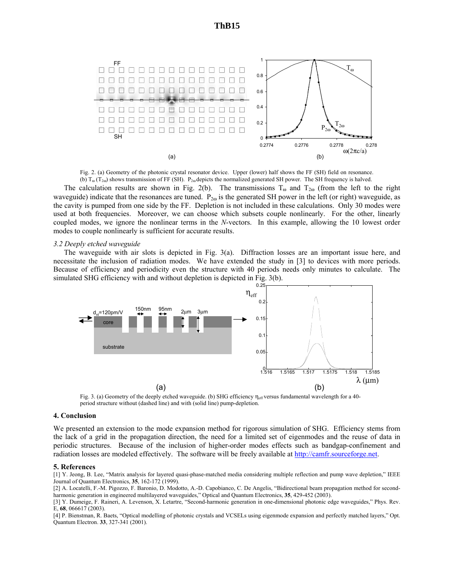

Fig. 2. (a) Geometry of the photonic crystal resonator device. Upper (lower) half shows the FF (SH) field on resonance. (b)  $T_{\omega}$  (T<sub>2ω</sub>) shows transmission of FF (SH). P<sub>2ω</sub> depicts the normalized generated SH power. The SH frequency is halved.

The calculation results are shown in Fig. 2(b). The transmissions  $T_{\omega}$  and  $T_{2\omega}$  (from the left to the right waveguide) indicate that the resonances are tuned.  $P_{2\omega}$  is the generated SH power in the left (or right) waveguide, as the cavity is pumped from one side by the FF. Depletion is not included in these calculations. Only 30 modes were used at both frequencies. Moreover, we can choose which subsets couple nonlinearly. For the other, linearly coupled modes, we ignore the nonlinear terms in the *N*-vectors. In this example, allowing the 10 lowest order modes to couple nonlinearly is sufficient for accurate results.

### *3.2 Deeply etched waveguide*

The waveguide with air slots is depicted in Fig. 3(a). Diffraction losses are an important issue here, and necessitate the inclusion of radiation modes. We have extended the study in [3] to devices with more periods. Because of efficiency and periodicity even the structure with 40 periods needs only minutes to calculate. The simulated SHG efficiency with and without depletion is depicted in Fig. 3(b).



Fig. 3. (a) Geometry of the deeply etched waveguide. (b) SHG efficiency η<sub>eff</sub> versus fundamental wavelength for a 40period structure without (dashed line) and with (solid line) pump-depletion.

### **4. Conclusion**

We presented an extension to the mode expansion method for rigorous simulation of SHG. Efficiency stems from the lack of a grid in the propagation direction, the need for a limited set of eigenmodes and the reuse of data in periodic structures. Because of the inclusion of higher-order modes effects such as bandgap-confinement and radiation losses are modeled effectively. The software will be freely available at http://camfr.sourceforge.net.

### **5. References**

[1] Y. Jeong, B. Lee, "Matrix analysis for layered quasi-phase-matched media considering multiple reflection and pump wave depletion," IEEE Journal of Quantum Electronics, **35**, 162-172 (1999).

[2] A. Locatelli, F.-M. Pigozzo, F. Baronio, D. Modotto, A.-D. Capobianco, C. De Angelis, "Bidirectional beam propagation method for secondharmonic generation in engineered multilayered waveguides," Optical and Quantum Electronics, **35**, 429-452 (2003).

[3] Y. Dumeige, F. Raineri, A. Levenson, X. Letartre, "Second-harmonic generation in one-dimensional photonic edge waveguides," Phys. Rev. E, **68**, 066617 (2003).

[4] P. Bienstman, R. Baets, "Optical modelling of photonic crystals and VCSELs using eigenmode expansion and perfectly matched layers," Opt. Quantum Electron. **33**, 327-341 (2001).